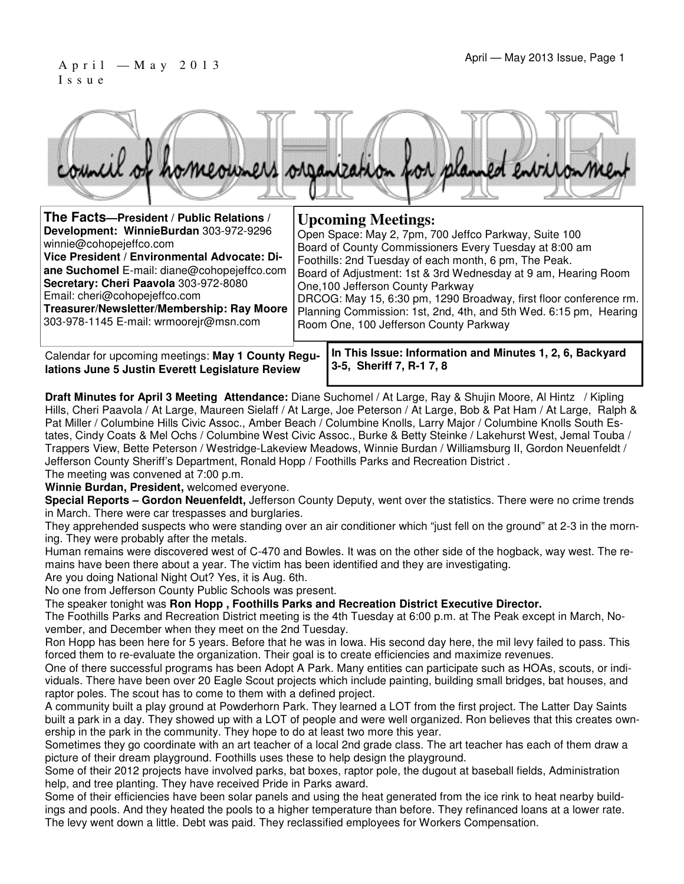#### April — May 2013 Issue, Page 1 I s s u e



| The Facts-President / Public Relations /     | <b>Upcoming Meetings:</b>                                         |
|----------------------------------------------|-------------------------------------------------------------------|
| Development: WinnieBurdan 303-972-9296       | Open Space: May 2, 7pm, 700 Jeffco Parkway, Suite 100             |
| winnie@cohopejeffco.com                      | Board of County Commissioners Every Tuesday at 8:00 am            |
| Vice President / Environmental Advocate: Di- | Foothills: 2nd Tuesday of each month, 6 pm, The Peak.             |
| ane Suchomel E-mail: diane@cohopejeffco.com  | Board of Adjustment: 1st & 3rd Wednesday at 9 am, Hearing Room    |
| Secretary: Cheri Paavola 303-972-8080        | One, 100 Jefferson County Parkway                                 |
| Email: cheri@cohopejeffco.com                | DRCOG: May 15, 6:30 pm, 1290 Broadway, first floor conference rm. |
| Treasurer/Newsletter/Membership: Ray Moore   | Planning Commission: 1st, 2nd, 4th, and 5th Wed. 6:15 pm, Hearing |
| 303-978-1145 E-mail: wrmoorejr@msn.com       | Room One, 100 Jefferson County Parkway                            |

Calendar for upcoming meetings: **May 1 County Regulations June 5 Justin Everett Legislature Review**

**In This Issue: Information and Minutes 1, 2, 6, Backyard 3-5, Sheriff 7, R-1 7, 8** 

**Draft Minutes for April 3 Meeting Attendance:** Diane Suchomel / At Large, Ray & Shujin Moore, Al Hintz / Kipling Hills, Cheri Paavola / At Large, Maureen Sielaff / At Large, Joe Peterson / At Large, Bob & Pat Ham / At Large, Ralph & Pat Miller / Columbine Hills Civic Assoc., Amber Beach / Columbine Knolls, Larry Major / Columbine Knolls South Estates, Cindy Coats & Mel Ochs / Columbine West Civic Assoc., Burke & Betty Steinke / Lakehurst West, Jemal Touba / Trappers View, Bette Peterson / Westridge-Lakeview Meadows, Winnie Burdan / Williamsburg II, Gordon Neuenfeldt / Jefferson County Sheriff's Department, Ronald Hopp / Foothills Parks and Recreation District .

The meeting was convened at 7:00 p.m.

**Winnie Burdan, President,** welcomed everyone.

**Special Reports – Gordon Neuenfeldt,** Jefferson County Deputy, went over the statistics. There were no crime trends in March. There were car trespasses and burglaries.

They apprehended suspects who were standing over an air conditioner which "just fell on the ground" at 2-3 in the morning. They were probably after the metals.

Human remains were discovered west of C-470 and Bowles. It was on the other side of the hogback, way west. The remains have been there about a year. The victim has been identified and they are investigating.

Are you doing National Night Out? Yes, it is Aug. 6th.

No one from Jefferson County Public Schools was present.

The speaker tonight was **Ron Hopp , Foothills Parks and Recreation District Executive Director.**

The Foothills Parks and Recreation District meeting is the 4th Tuesday at 6:00 p.m. at The Peak except in March, November, and December when they meet on the 2nd Tuesday.

Ron Hopp has been here for 5 years. Before that he was in Iowa. His second day here, the mil levy failed to pass. This forced them to re-evaluate the organization. Their goal is to create efficiencies and maximize revenues.

One of there successful programs has been Adopt A Park. Many entities can participate such as HOAs, scouts, or individuals. There have been over 20 Eagle Scout projects which include painting, building small bridges, bat houses, and raptor poles. The scout has to come to them with a defined project.

A community built a play ground at Powderhorn Park. They learned a LOT from the first project. The Latter Day Saints built a park in a day. They showed up with a LOT of people and were well organized. Ron believes that this creates ownership in the park in the community. They hope to do at least two more this year.

Sometimes they go coordinate with an art teacher of a local 2nd grade class. The art teacher has each of them draw a picture of their dream playground. Foothills uses these to help design the playground.

Some of their 2012 projects have involved parks, bat boxes, raptor pole, the dugout at baseball fields, Administration help, and tree planting. They have received Pride in Parks award.

Some of their efficiencies have been solar panels and using the heat generated from the ice rink to heat nearby buildings and pools. And they heated the pools to a higher temperature than before. They refinanced loans at a lower rate. The levy went down a little. Debt was paid. They reclassified employees for Workers Compensation.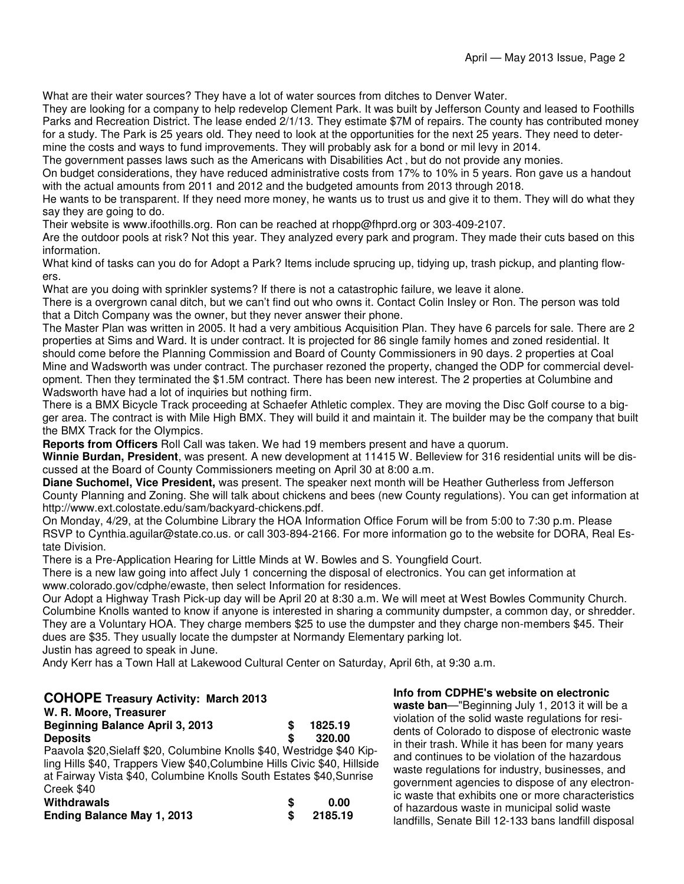What are their water sources? They have a lot of water sources from ditches to Denver Water.

They are looking for a company to help redevelop Clement Park. It was built by Jefferson County and leased to Foothills Parks and Recreation District. The lease ended 2/1/13. They estimate \$7M of repairs. The county has contributed money for a study. The Park is 25 years old. They need to look at the opportunities for the next 25 years. They need to determine the costs and ways to fund improvements. They will probably ask for a bond or mil levy in 2014.

The government passes laws such as the Americans with Disabilities Act , but do not provide any monies.

On budget considerations, they have reduced administrative costs from 17% to 10% in 5 years. Ron gave us a handout with the actual amounts from 2011 and 2012 and the budgeted amounts from 2013 through 2018.

He wants to be transparent. If they need more money, he wants us to trust us and give it to them. They will do what they say they are going to do.

Their website is www.ifoothills.org. Ron can be reached at rhopp@fhprd.org or 303-409-2107.

Are the outdoor pools at risk? Not this year. They analyzed every park and program. They made their cuts based on this information.

What kind of tasks can you do for Adopt a Park? Items include sprucing up, tidying up, trash pickup, and planting flowers.

What are you doing with sprinkler systems? If there is not a catastrophic failure, we leave it alone.

There is a overgrown canal ditch, but we can't find out who owns it. Contact Colin Insley or Ron. The person was told that a Ditch Company was the owner, but they never answer their phone.

The Master Plan was written in 2005. It had a very ambitious Acquisition Plan. They have 6 parcels for sale. There are 2 properties at Sims and Ward. It is under contract. It is projected for 86 single family homes and zoned residential. It should come before the Planning Commission and Board of County Commissioners in 90 days. 2 properties at Coal Mine and Wadsworth was under contract. The purchaser rezoned the property, changed the ODP for commercial development. Then they terminated the \$1.5M contract. There has been new interest. The 2 properties at Columbine and Wadsworth have had a lot of inquiries but nothing firm.

There is a BMX Bicycle Track proceeding at Schaefer Athletic complex. They are moving the Disc Golf course to a bigger area. The contract is with Mile High BMX. They will build it and maintain it. The builder may be the company that built the BMX Track for the Olympics.

**Reports from Officers** Roll Call was taken. We had 19 members present and have a quorum.

**Winnie Burdan, President**, was present. A new development at 11415 W. Belleview for 316 residential units will be discussed at the Board of County Commissioners meeting on April 30 at 8:00 a.m.

**Diane Suchomel, Vice President,** was present. The speaker next month will be Heather Gutherless from Jefferson County Planning and Zoning. She will talk about chickens and bees (new County regulations). You can get information at http://www.ext.colostate.edu/sam/backyard-chickens.pdf.

On Monday, 4/29, at the Columbine Library the HOA Information Office Forum will be from 5:00 to 7:30 p.m. Please RSVP to Cynthia.aguilar@state.co.us. or call 303-894-2166. For more information go to the website for DORA, Real Estate Division.

There is a Pre-Application Hearing for Little Minds at W. Bowles and S. Youngfield Court.

There is a new law going into affect July 1 concerning the disposal of electronics. You can get information at www.colorado.gov/cdphe/ewaste, then select Information for residences.

Our Adopt a Highway Trash Pick-up day will be April 20 at 8:30 a.m. We will meet at West Bowles Community Church. Columbine Knolls wanted to know if anyone is interested in sharing a community dumpster, a common day, or shredder. They are a Voluntary HOA. They charge members \$25 to use the dumpster and they charge non-members \$45. Their dues are \$35. They usually locate the dumpster at Normandy Elementary parking lot.

Justin has agreed to speak in June.

Andy Kerr has a Town Hall at Lakewood Cultural Center on Saturday, April 6th, at 9:30 a.m.

#### **COHOPE Treasury Activity: March 2013 W. R. Moore, Treasurer**

| <b>Beginning Balance April 3, 2013</b>                                    |    | 1825.19 |
|---------------------------------------------------------------------------|----|---------|
| <b>Deposits</b>                                                           | \$ | 320.00  |
| Paavola \$20, Sielaff \$20, Columbine Knolls \$40, Westridge \$40 Kip-    |    |         |
| ling Hills \$40, Trappers View \$40, Columbine Hills Civic \$40, Hillside |    |         |
| at Fairway Vista \$40, Columbine Knolls South Estates \$40, Sunrise       |    |         |
| Creek \$40                                                                |    |         |
| Withdrawals                                                               | S  | 0.00    |
| <b>Ending Balance May 1, 2013</b>                                         |    | 2185.19 |

waste ban-"Beginning July 1, 2013 it will be a violation of the solid waste regulations for residents of Colorado to dispose of electronic waste in their trash. While it has been for many years and continues to be violation of the hazardous waste regulations for industry, businesses, and government agencies to dispose of any electronic waste that exhibits one or more characteristics of hazardous waste in municipal solid waste landfills, Senate Bill 12-133 bans landfill disposal

**Info from CDPHE's website on electronic**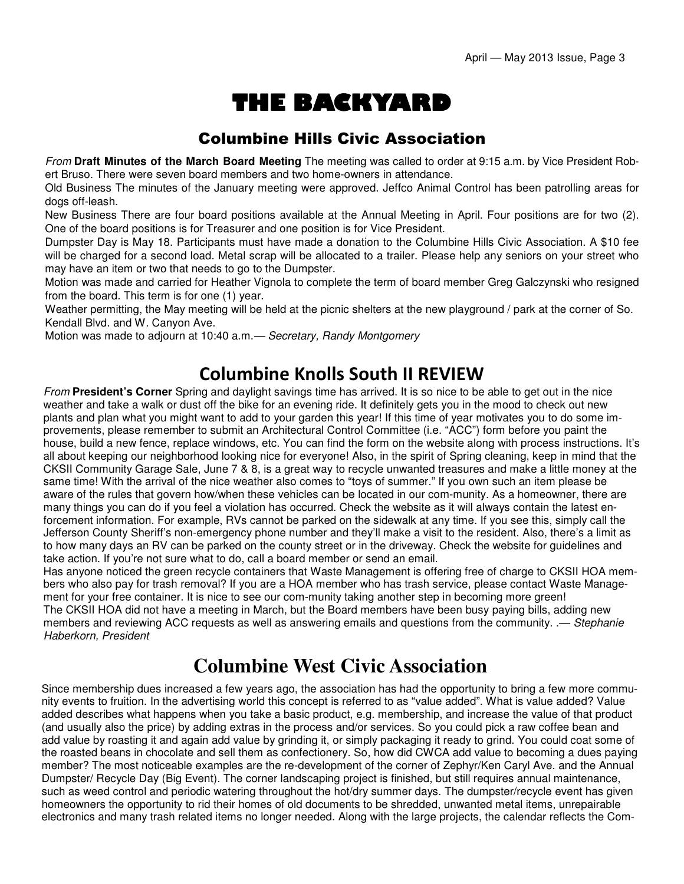# THE BACKYARD

#### Columbine Hills Civic Association

From **Draft Minutes of the March Board Meeting** The meeting was called to order at 9:15 a.m. by Vice President Robert Bruso. There were seven board members and two home-owners in attendance.

Old Business The minutes of the January meeting were approved. Jeffco Animal Control has been patrolling areas for dogs off-leash.

New Business There are four board positions available at the Annual Meeting in April. Four positions are for two (2). One of the board positions is for Treasurer and one position is for Vice President.

Dumpster Day is May 18. Participants must have made a donation to the Columbine Hills Civic Association. A \$10 fee will be charged for a second load. Metal scrap will be allocated to a trailer. Please help any seniors on your street who may have an item or two that needs to go to the Dumpster.

Motion was made and carried for Heather Vignola to complete the term of board member Greg Galczynski who resigned from the board. This term is for one (1) year.

Weather permitting, the May meeting will be held at the picnic shelters at the new playground / park at the corner of So. Kendall Blvd. and W. Canyon Ave.

Motion was made to adjourn at 10:40 a.m.— Secretary, Randy Montgomery

## Columbine Knolls South II REVIEW

From **President's Corner** Spring and daylight savings time has arrived. It is so nice to be able to get out in the nice weather and take a walk or dust off the bike for an evening ride. It definitely gets you in the mood to check out new plants and plan what you might want to add to your garden this year! If this time of year motivates you to do some improvements, please remember to submit an Architectural Control Committee (i.e. "ACC") form before you paint the house, build a new fence, replace windows, etc. You can find the form on the website along with process instructions. It's all about keeping our neighborhood looking nice for everyone! Also, in the spirit of Spring cleaning, keep in mind that the CKSII Community Garage Sale, June 7 & 8, is a great way to recycle unwanted treasures and make a little money at the same time! With the arrival of the nice weather also comes to "toys of summer." If you own such an item please be aware of the rules that govern how/when these vehicles can be located in our com-munity. As a homeowner, there are many things you can do if you feel a violation has occurred. Check the website as it will always contain the latest enforcement information. For example, RVs cannot be parked on the sidewalk at any time. If you see this, simply call the Jefferson County Sheriff's non-emergency phone number and they'll make a visit to the resident. Also, there's a limit as to how many days an RV can be parked on the county street or in the driveway. Check the website for guidelines and take action. If you're not sure what to do, call a board member or send an email.

Has anyone noticed the green recycle containers that Waste Management is offering free of charge to CKSII HOA members who also pay for trash removal? If you are a HOA member who has trash service, please contact Waste Management for your free container. It is nice to see our com-munity taking another step in becoming more green! The CKSII HOA did not have a meeting in March, but the Board members have been busy paying bills, adding new members and reviewing ACC requests as well as answering emails and questions from the community. .— Stephanie Haberkorn, President

# **Columbine West Civic Association**

Since membership dues increased a few years ago, the association has had the opportunity to bring a few more community events to fruition. In the advertising world this concept is referred to as "value added". What is value added? Value added describes what happens when you take a basic product, e.g. membership, and increase the value of that product (and usually also the price) by adding extras in the process and/or services. So you could pick a raw coffee bean and add value by roasting it and again add value by grinding it, or simply packaging it ready to grind. You could coat some of the roasted beans in chocolate and sell them as confectionery. So, how did CWCA add value to becoming a dues paying member? The most noticeable examples are the re-development of the corner of Zephyr/Ken Caryl Ave. and the Annual Dumpster/ Recycle Day (Big Event). The corner landscaping project is finished, but still requires annual maintenance, such as weed control and periodic watering throughout the hot/dry summer days. The dumpster/recycle event has given homeowners the opportunity to rid their homes of old documents to be shredded, unwanted metal items, unrepairable electronics and many trash related items no longer needed. Along with the large projects, the calendar reflects the Com-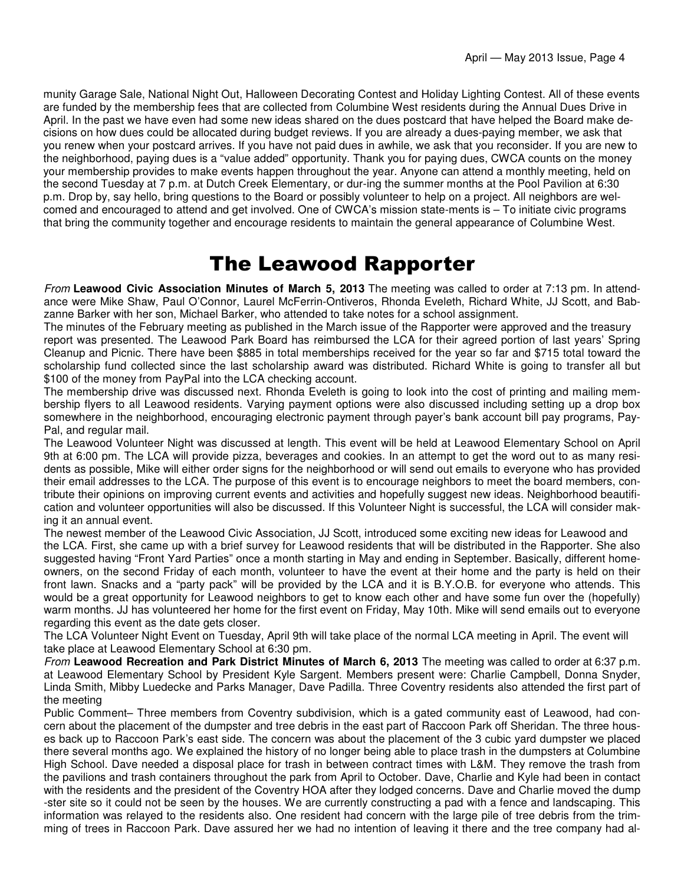munity Garage Sale, National Night Out, Halloween Decorating Contest and Holiday Lighting Contest. All of these events are funded by the membership fees that are collected from Columbine West residents during the Annual Dues Drive in April. In the past we have even had some new ideas shared on the dues postcard that have helped the Board make decisions on how dues could be allocated during budget reviews. If you are already a dues-paying member, we ask that you renew when your postcard arrives. If you have not paid dues in awhile, we ask that you reconsider. If you are new to the neighborhood, paying dues is a "value added" opportunity. Thank you for paying dues, CWCA counts on the money your membership provides to make events happen throughout the year. Anyone can attend a monthly meeting, held on the second Tuesday at 7 p.m. at Dutch Creek Elementary, or dur-ing the summer months at the Pool Pavilion at 6:30 p.m. Drop by, say hello, bring questions to the Board or possibly volunteer to help on a project. All neighbors are welcomed and encouraged to attend and get involved. One of CWCA's mission state-ments is – To initiate civic programs that bring the community together and encourage residents to maintain the general appearance of Columbine West.

## The Leawood Rapporter

From **Leawood Civic Association Minutes of March 5, 2013** The meeting was called to order at 7:13 pm. In attendance were Mike Shaw, Paul O'Connor, Laurel McFerrin-Ontiveros, Rhonda Eveleth, Richard White, JJ Scott, and Babzanne Barker with her son, Michael Barker, who attended to take notes for a school assignment.

The minutes of the February meeting as published in the March issue of the Rapporter were approved and the treasury report was presented. The Leawood Park Board has reimbursed the LCA for their agreed portion of last years' Spring Cleanup and Picnic. There have been \$885 in total memberships received for the year so far and \$715 total toward the scholarship fund collected since the last scholarship award was distributed. Richard White is going to transfer all but \$100 of the money from PayPal into the LCA checking account.

The membership drive was discussed next. Rhonda Eveleth is going to look into the cost of printing and mailing membership flyers to all Leawood residents. Varying payment options were also discussed including setting up a drop box somewhere in the neighborhood, encouraging electronic payment through payer's bank account bill pay programs, Pay-Pal, and regular mail.

The Leawood Volunteer Night was discussed at length. This event will be held at Leawood Elementary School on April 9th at 6:00 pm. The LCA will provide pizza, beverages and cookies. In an attempt to get the word out to as many residents as possible, Mike will either order signs for the neighborhood or will send out emails to everyone who has provided their email addresses to the LCA. The purpose of this event is to encourage neighbors to meet the board members, contribute their opinions on improving current events and activities and hopefully suggest new ideas. Neighborhood beautification and volunteer opportunities will also be discussed. If this Volunteer Night is successful, the LCA will consider making it an annual event.

The newest member of the Leawood Civic Association, JJ Scott, introduced some exciting new ideas for Leawood and the LCA. First, she came up with a brief survey for Leawood residents that will be distributed in the Rapporter. She also suggested having "Front Yard Parties" once a month starting in May and ending in September. Basically, different homeowners, on the second Friday of each month, volunteer to have the event at their home and the party is held on their front lawn. Snacks and a "party pack" will be provided by the LCA and it is B.Y.O.B. for everyone who attends. This would be a great opportunity for Leawood neighbors to get to know each other and have some fun over the (hopefully) warm months. JJ has volunteered her home for the first event on Friday, May 10th. Mike will send emails out to everyone regarding this event as the date gets closer.

The LCA Volunteer Night Event on Tuesday, April 9th will take place of the normal LCA meeting in April. The event will take place at Leawood Elementary School at 6:30 pm.

From **Leawood Recreation and Park District Minutes of March 6, 2013** The meeting was called to order at 6:37 p.m. at Leawood Elementary School by President Kyle Sargent. Members present were: Charlie Campbell, Donna Snyder, Linda Smith, Mibby Luedecke and Parks Manager, Dave Padilla. Three Coventry residents also attended the first part of the meeting

Public Comment– Three members from Coventry subdivision, which is a gated community east of Leawood, had concern about the placement of the dumpster and tree debris in the east part of Raccoon Park off Sheridan. The three houses back up to Raccoon Park's east side. The concern was about the placement of the 3 cubic yard dumpster we placed there several months ago. We explained the history of no longer being able to place trash in the dumpsters at Columbine High School. Dave needed a disposal place for trash in between contract times with L&M. They remove the trash from the pavilions and trash containers throughout the park from April to October. Dave, Charlie and Kyle had been in contact with the residents and the president of the Coventry HOA after they lodged concerns. Dave and Charlie moved the dump -ster site so it could not be seen by the houses. We are currently constructing a pad with a fence and landscaping. This information was relayed to the residents also. One resident had concern with the large pile of tree debris from the trimming of trees in Raccoon Park. Dave assured her we had no intention of leaving it there and the tree company had al-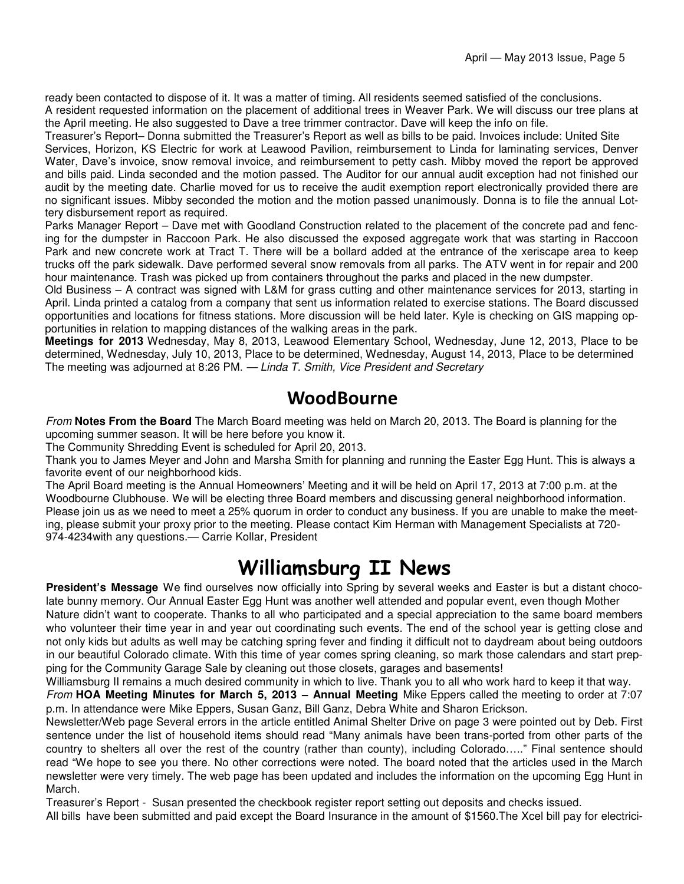ready been contacted to dispose of it. It was a matter of timing. All residents seemed satisfied of the conclusions. A resident requested information on the placement of additional trees in Weaver Park. We will discuss our tree plans at the April meeting. He also suggested to Dave a tree trimmer contractor. Dave will keep the info on file.

Treasurer's Report– Donna submitted the Treasurer's Report as well as bills to be paid. Invoices include: United Site Services, Horizon, KS Electric for work at Leawood Pavilion, reimbursement to Linda for laminating services, Denver Water, Dave's invoice, snow removal invoice, and reimbursement to petty cash. Mibby moved the report be approved and bills paid. Linda seconded and the motion passed. The Auditor for our annual audit exception had not finished our audit by the meeting date. Charlie moved for us to receive the audit exemption report electronically provided there are no significant issues. Mibby seconded the motion and the motion passed unanimously. Donna is to file the annual Lottery disbursement report as required.

Parks Manager Report – Dave met with Goodland Construction related to the placement of the concrete pad and fencing for the dumpster in Raccoon Park. He also discussed the exposed aggregate work that was starting in Raccoon Park and new concrete work at Tract T. There will be a bollard added at the entrance of the xeriscape area to keep trucks off the park sidewalk. Dave performed several snow removals from all parks. The ATV went in for repair and 200 hour maintenance. Trash was picked up from containers throughout the parks and placed in the new dumpster.

Old Business – A contract was signed with L&M for grass cutting and other maintenance services for 2013, starting in April. Linda printed a catalog from a company that sent us information related to exercise stations. The Board discussed opportunities and locations for fitness stations. More discussion will be held later. Kyle is checking on GIS mapping opportunities in relation to mapping distances of the walking areas in the park.

**Meetings for 2013** Wednesday, May 8, 2013, Leawood Elementary School, Wednesday, June 12, 2013, Place to be determined, Wednesday, July 10, 2013, Place to be determined, Wednesday, August 14, 2013, Place to be determined The meeting was adjourned at 8:26 PM. — Linda T. Smith, Vice President and Secretary

### WoodBourne

From **Notes From the Board** The March Board meeting was held on March 20, 2013. The Board is planning for the upcoming summer season. It will be here before you know it.

The Community Shredding Event is scheduled for April 20, 2013.

Thank you to James Meyer and John and Marsha Smith for planning and running the Easter Egg Hunt. This is always a favorite event of our neighborhood kids.

The April Board meeting is the Annual Homeowners' Meeting and it will be held on April 17, 2013 at 7:00 p.m. at the Woodbourne Clubhouse. We will be electing three Board members and discussing general neighborhood information. Please join us as we need to meet a 25% quorum in order to conduct any business. If you are unable to make the meeting, please submit your proxy prior to the meeting. Please contact Kim Herman with Management Specialists at 720- 974-4234with any questions.— Carrie Kollar, President

# Williamsburg II News

**President's Message** We find ourselves now officially into Spring by several weeks and Easter is but a distant chocolate bunny memory. Our Annual Easter Egg Hunt was another well attended and popular event, even though Mother Nature didn't want to cooperate. Thanks to all who participated and a special appreciation to the same board members who volunteer their time year in and year out coordinating such events. The end of the school year is getting close and not only kids but adults as well may be catching spring fever and finding it difficult not to daydream about being outdoors in our beautiful Colorado climate. With this time of year comes spring cleaning, so mark those calendars and start prepping for the Community Garage Sale by cleaning out those closets, garages and basements!

Williamsburg II remains a much desired community in which to live. Thank you to all who work hard to keep it that way. From **HOA Meeting Minutes for March 5, 2013 – Annual Meeting** Mike Eppers called the meeting to order at 7:07 p.m. In attendance were Mike Eppers, Susan Ganz, Bill Ganz, Debra White and Sharon Erickson.

Newsletter/Web page Several errors in the article entitled Animal Shelter Drive on page 3 were pointed out by Deb. First sentence under the list of household items should read "Many animals have been trans-ported from other parts of the country to shelters all over the rest of the country (rather than county), including Colorado….." Final sentence should read "We hope to see you there. No other corrections were noted. The board noted that the articles used in the March newsletter were very timely. The web page has been updated and includes the information on the upcoming Egg Hunt in March.

Treasurer's Report - Susan presented the checkbook register report setting out deposits and checks issued.

All bills have been submitted and paid except the Board Insurance in the amount of \$1560.The Xcel bill pay for electrici-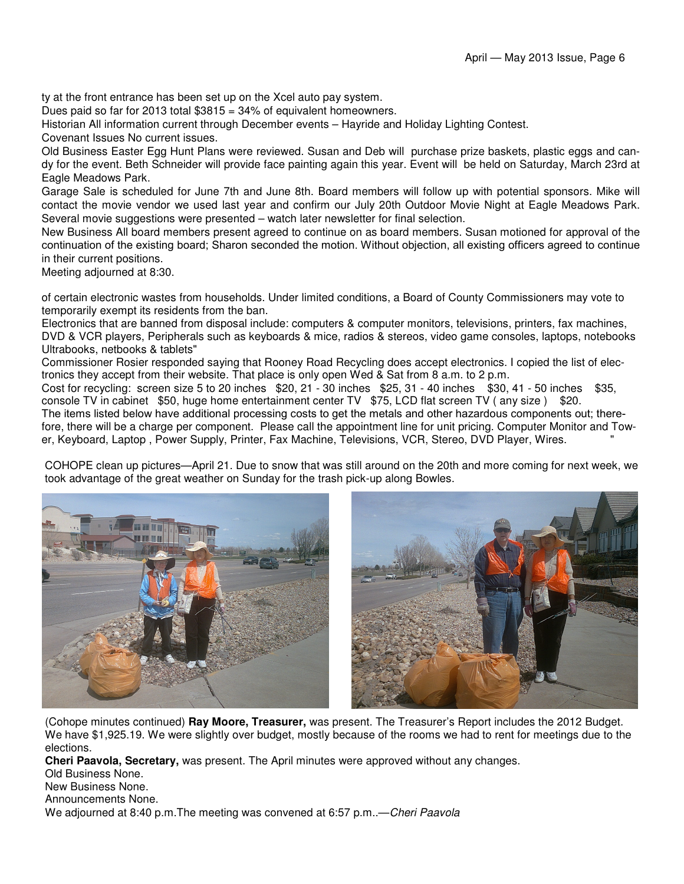ty at the front entrance has been set up on the Xcel auto pay system.

Dues paid so far for 2013 total \$3815 = 34% of equivalent homeowners.

Historian All information current through December events – Hayride and Holiday Lighting Contest.

Covenant Issues No current issues.

Old Business Easter Egg Hunt Plans were reviewed. Susan and Deb will purchase prize baskets, plastic eggs and candy for the event. Beth Schneider will provide face painting again this year. Event will be held on Saturday, March 23rd at Eagle Meadows Park.

Garage Sale is scheduled for June 7th and June 8th. Board members will follow up with potential sponsors. Mike will contact the movie vendor we used last year and confirm our July 20th Outdoor Movie Night at Eagle Meadows Park. Several movie suggestions were presented – watch later newsletter for final selection.

New Business All board members present agreed to continue on as board members. Susan motioned for approval of the continuation of the existing board; Sharon seconded the motion. Without objection, all existing officers agreed to continue in their current positions.

Meeting adjourned at 8:30.

of certain electronic wastes from households. Under limited conditions, a Board of County Commissioners may vote to temporarily exempt its residents from the ban.

Electronics that are banned from disposal include: computers & computer monitors, televisions, printers, fax machines, DVD & VCR players, Peripherals such as keyboards & mice, radios & stereos, video game consoles, laptops, notebooks Ultrabooks, netbooks & tablets"

Commissioner Rosier responded saying that Rooney Road Recycling does accept electronics. I copied the list of electronics they accept from their website. That place is only open Wed & Sat from 8 a.m. to 2 p.m.

Cost for recycling: screen size 5 to 20 inches \$20, 21 - 30 inches \$25, 31 - 40 inches \$30, 41 - 50 inches \$35, console TV in cabinet \$50, huge home entertainment center TV \$75, LCD flat screen TV (any size ) \$20. The items listed below have additional processing costs to get the metals and other hazardous components out; there-

fore, there will be a charge per component. Please call the appointment line for unit pricing. Computer Monitor and Tower, Keyboard, Laptop , Power Supply, Printer, Fax Machine, Televisions, VCR, Stereo, DVD Player, Wires. "

COHOPE clean up pictures—April 21. Due to snow that was still around on the 20th and more coming for next week, we took advantage of the great weather on Sunday for the trash pick-up along Bowles.



(Cohope minutes continued) **Ray Moore, Treasurer,** was present. The Treasurer's Report includes the 2012 Budget. We have \$1,925.19. We were slightly over budget, mostly because of the rooms we had to rent for meetings due to the elections.

**Cheri Paavola, Secretary,** was present. The April minutes were approved without any changes.

Old Business None.

New Business None.

Announcements None.

We adjourned at 8:40 p.m. The meeting was convened at 6:57 p.m. — Cheri Paavola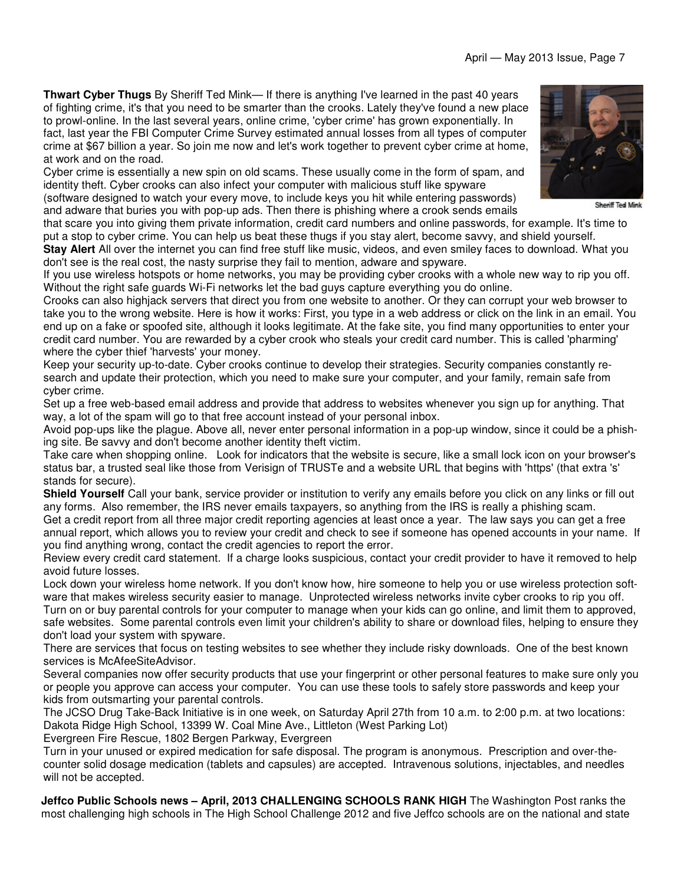**Thwart Cyber Thugs** By Sheriff Ted Mink— If there is anything I've learned in the past 40 years of fighting crime, it's that you need to be smarter than the crooks. Lately they've found a new place to prowl-online. In the last several years, online crime, 'cyber crime' has grown exponentially. In fact, last year the FBI Computer Crime Survey estimated annual losses from all types of computer crime at \$67 billion a year. So join me now and let's work together to prevent cyber crime at home, at work and on the road.

Cyber crime is essentially a new spin on old scams. These usually come in the form of spam, and identity theft. Cyber crooks can also infect your computer with malicious stuff like spyware (software designed to watch your every move, to include keys you hit while entering passwords)

and adware that buries you with pop-up ads. Then there is phishing where a crook sends emails that scare you into giving them private information, credit card numbers and online passwords, for example. It's time to

put a stop to cyber crime. You can help us beat these thugs if you stay alert, become savvy, and shield yourself. **Stay Alert** All over the internet you can find free stuff like music, videos, and even smiley faces to download. What you don't see is the real cost, the nasty surprise they fail to mention, adware and spyware.

If you use wireless hotspots or home networks, you may be providing cyber crooks with a whole new way to rip you off. Without the right safe guards Wi-Fi networks let the bad guys capture everything you do online.

Crooks can also highjack servers that direct you from one website to another. Or they can corrupt your web browser to take you to the wrong website. Here is how it works: First, you type in a web address or click on the link in an email. You end up on a fake or spoofed site, although it looks legitimate. At the fake site, you find many opportunities to enter your credit card number. You are rewarded by a cyber crook who steals your credit card number. This is called 'pharming' where the cyber thief 'harvests' your money.

Keep your security up-to-date. Cyber crooks continue to develop their strategies. Security companies constantly research and update their protection, which you need to make sure your computer, and your family, remain safe from cyber crime.

Set up a free web-based email address and provide that address to websites whenever you sign up for anything. That way, a lot of the spam will go to that free account instead of your personal inbox.

Avoid pop-ups like the plague. Above all, never enter personal information in a pop-up window, since it could be a phishing site. Be savvy and don't become another identity theft victim.

Take care when shopping online. Look for indicators that the website is secure, like a small lock icon on your browser's status bar, a trusted seal like those from Verisign of TRUSTe and a website URL that begins with 'https' (that extra 's' stands for secure).

**Shield Yourself** Call your bank, service provider or institution to verify any emails before you click on any links or fill out any forms. Also remember, the IRS never emails taxpayers, so anything from the IRS is really a phishing scam.

Get a credit report from all three major credit reporting agencies at least once a year. The law says you can get a free annual report, which allows you to review your credit and check to see if someone has opened accounts in your name. If you find anything wrong, contact the credit agencies to report the error.

Review every credit card statement. If a charge looks suspicious, contact your credit provider to have it removed to help avoid future losses.

Lock down your wireless home network. If you don't know how, hire someone to help you or use wireless protection software that makes wireless security easier to manage. Unprotected wireless networks invite cyber crooks to rip you off.

Turn on or buy parental controls for your computer to manage when your kids can go online, and limit them to approved, safe websites. Some parental controls even limit your children's ability to share or download files, helping to ensure they don't load your system with spyware.

There are services that focus on testing websites to see whether they include risky downloads. One of the best known services is McAfeeSiteAdvisor.

Several companies now offer security products that use your fingerprint or other personal features to make sure only you or people you approve can access your computer. You can use these tools to safely store passwords and keep your kids from outsmarting your parental controls.

The JCSO Drug Take-Back Initiative is in one week, on Saturday April 27th from 10 a.m. to 2:00 p.m. at two locations: Dakota Ridge High School, 13399 W. Coal Mine Ave., Littleton (West Parking Lot)

Evergreen Fire Rescue, 1802 Bergen Parkway, Evergreen

Turn in your unused or expired medication for safe disposal. The program is anonymous. Prescription and over-thecounter solid dosage medication (tablets and capsules) are accepted. Intravenous solutions, injectables, and needles will not be accepted.

**Jeffco Public Schools news – April, 2013 CHALLENGING SCHOOLS RANK HIGH** The Washington Post ranks the most challenging high schools in The High School Challenge 2012 and five Jeffco schools are on the national and state



**Sheriff Ted Mink**